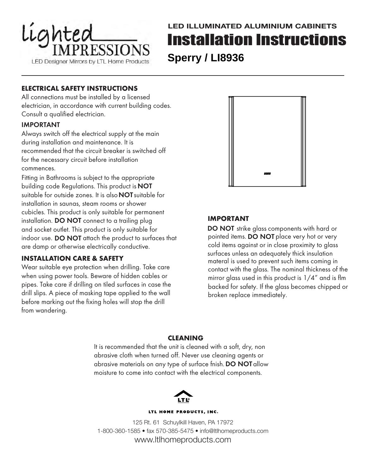

### **ELECTRICAL SAFETY INSTRUCTIONS**

All connections must be installed by a licensed electrician, in accordance with current building codes. Consult a qualified electrician.

#### IMPORTANT

Always switch off the electrical supply at the main during installation and maintenance. It is recommended that the circuit breaker is switched off for the necessary circuit before installation commences.

Fitting in Bathrooms is subject to the appropriate building code Regulations. This product is **NOT** suitable for outside zones. It is also **NOT** suitable for installation in saunas, steam rooms or shower cubicles. This product is only suitable for permanent installation. DO NOT connect to a trailing plug and socket outlet. This product is only suitable for indoor use. DO NOT attach the product to surfaces that are damp or otherwise electrically conductive.

#### **INSTALLATION CARE & SAFETY**

Wear suitable eye protection when drilling. Take care when using power tools. Beware of hidden cables or pipes. Take care if drilling on tiled surfaces in case the drill slips. A piece of masking tape applied to the wall before marking out the fixing holes will stop the drill from wandering.



### **IMPORTANT**

DO NOT strike glass components with hard or pointed items. DO NOT place very hot or very cold items against or in close proximity to glass surfaces unless an adequately thick insulation materal is used to prevent such items coming in contact with the glass. The nominal thickness of the mirror glass used in this product is 1/4" and is flm backed for safety. If the glass becomes chipped or broken replace immediately.

#### **CLEANING**

It is recommended that the unit is cleaned with a soft, dry, non abrasive cloth when turned off. Never use cleaning agents or abrasive materials on any type of surface fnish. DO NOT allow moisture to come into contact with the electrical components.



#### LTL HOME PRODUCTS, INC.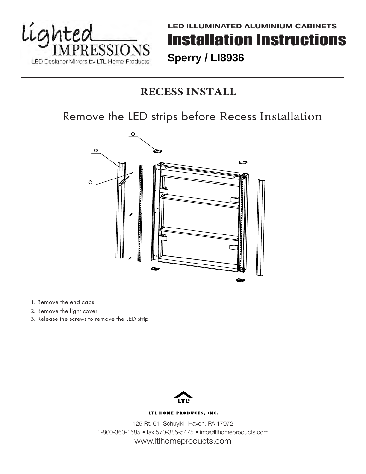

## **RECESS INSTALL**

## Remove the LED strips before Recess Installation



1. Remove the end caps

- 2. Remove the light cover
- 3. Release the screws to remove the LED strip



#### LTL HOME PRODUCTS, INC.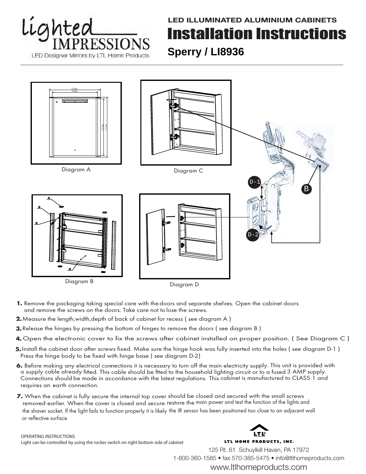# Lighted **ESSIO** LED Designer Mirrors by LTL Home Products

## **LED ILLUMINATED ALUMINIUM CABINETS** Installation Instructions **Sperry / LI8936**



Diagram D

- **1.** Remove the packaging taking special care with the doors and separate shelves. Open the cabinet doors and remove the screws on the doors. Take care not to lose the screws.
- **2.** Measure the length,width,depth of back of cabinet for recess ( see diagram A )
- **3.** Release the hinges by pressing the bottom of hinges to remove the doors ( see diagram B )
- **4.** Open the electronic cover to fix the screws after cabinet installed on proper position. ( See Diagram C )
- **5.** Install the cabinet door after screws fixed. Make sure the hinge hook was fully inserted into the holes ( see diagram D-1 ) Press the hinge body to be fixed with hinge base ( see diagram D-2)
- 6. Before making any electrical connections it is necessary to turn off the main electricity supply. This unit is provided with a supply cable already fitted. This cable should be ftted to the household lighting circuit or to a fused 3 AMP supply. Connections should be made in accordance with the latest regulations. This cabinet is manufactured to CLASS 1 and requires an earth connection.
- **7.** When the cabinet is fully secure the internal top cover should be closed and secured with the small screws **D C** removed earlier. When the cover is closed and secure restore the main power and test the function of the lights and the shaver socket. If the light fails to function properly it is likely the IR sensor has been positioned too close to an adjacent wall **G** or reflective surface

OPERATING INSTRUCTIONS Light can be controlled by using the rocker switch on right bottom side of cabinet

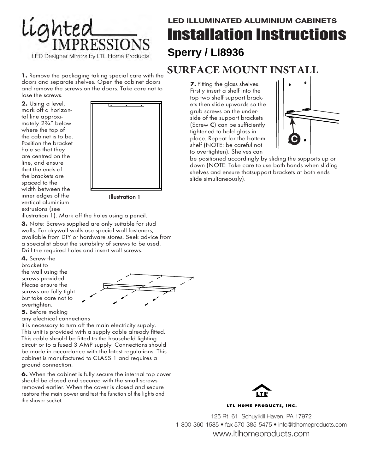

**1.** Remove the packaging taking special care with the doors and separate shelves. Open the cabinet doors and remove the screws on the doors. Take care not to lose the screws.

**2.** Using a level, mark off a horizontal line approximately 2¾" below where the top of the cabinet is to be. Position the bracket hole so that they are centred on the line, and ensure that the ends of the brackets are spaced to the width between the inner edges of the vertical aluminium extrusions (see



Illustration 1

illustration 1). Mark off the holes using a pencil.

**3.** Note: Screws supplied are only suitable for stud walls. For drywall walls use special wall fasteners, available from DIY or hardware stores. Seek advice from a specialist about the suitability of screws to be used. Drill the required holes and insert wall screws.

**4.** Screw the bracket to the wall using the screws provided. Please ensure the screws are fully tight but take care not to overtighten.



**5.** Before making

any electrical connections

it is necessary to turn off the main electricity supply. This unit is provided with a supply cable already fitted. This cable should be fitted to the household lighting circuit or to a fused 3 AMP supply. Connections should be made in accordance with the latest regulations. This cabinet is manufactured to CLASS 1 and requires a ground connection.

**6.** When the cabinet is fully secure the internal top cover should be closed and secured with the small screws removed earlier. When the cover is closed and secure restore the main power and test the function of the lights and the shaver socket.

## **SURFACE MOUNT INSTA**

to overtighten). Shelves can Fitting the glass shelves. **7.** Firstly insert a shelf into the top two shelf support brackets then slide upwards so the grub screws on the underside of the support brackets (Screw C) can be sufficiently tightened to hold glass in place. Repeat for the bottom shelf (NOTE: be careful not



be positioned accordingly by sliding the supports up or down (NOTE: Take care to use both hands when sliding shelves and ensure thatsupport brackets at both ends slide simultaneously).



LTL HOME PRODUCTS, INC.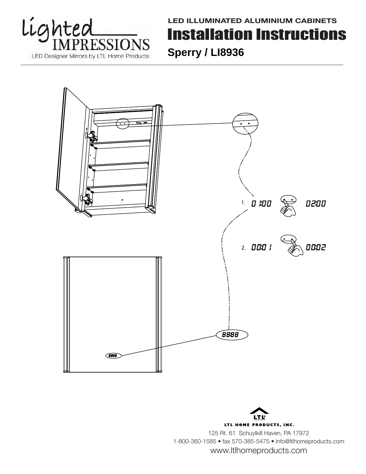



LTL HOME PRODUCTS, INC. 125 Rt. 61 Schuylkill Haven, PA 17972 1-800-360-1585 • fax 570-385-5475 • info@ltlhomeproducts.com www.ltlhomeproducts.com